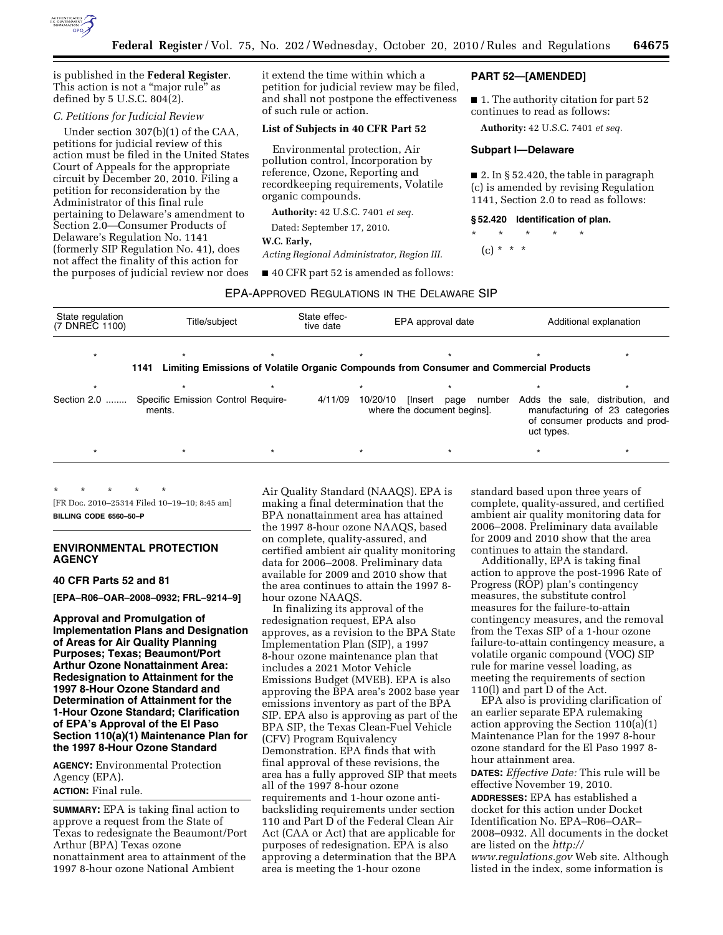

is published in the **Federal Register**. This action is not a "major rule" as defined by 5 U.S.C. 804(2).

# *C. Petitions for Judicial Review*

Under section 307(b)(1) of the CAA, petitions for judicial review of this action must be filed in the United States Court of Appeals for the appropriate circuit by December 20, 2010. Filing a petition for reconsideration by the Administrator of this final rule pertaining to Delaware's amendment to Section 2.0—Consumer Products of Delaware's Regulation No. 1141 (formerly SIP Regulation No. 41), does not affect the finality of this action for the purposes of judicial review nor does it extend the time within which a petition for judicial review may be filed, and shall not postpone the effectiveness of such rule or action.

### **List of Subjects in 40 CFR Part 52**

Environmental protection, Air pollution control, Incorporation by reference, Ozone, Reporting and recordkeeping requirements, Volatile organic compounds.

**Authority:** 42 U.S.C. 7401 *et seq.* 

Dated: September 17, 2010.

### **W.C. Early,**

*Acting Regional Administrator, Region III.* 

■ 40 CFR part 52 is amended as follows:

### EPA-APPROVED REGULATIONS IN THE DELAWARE SIP

| State regulation<br>Title/subject<br>(7 DNREC 1100) |                | State effec-<br>tive date          |          | EPA approval date | Additional explanation      |                                                                                                      |  |
|-----------------------------------------------------|----------------|------------------------------------|----------|-------------------|-----------------------------|------------------------------------------------------------------------------------------------------|--|
|                                                     |                |                                    |          |                   |                             |                                                                                                      |  |
|                                                     |                |                                    |          |                   |                             |                                                                                                      |  |
|                                                     |                |                                    |          |                   |                             |                                                                                                      |  |
|                                                     |                | 4/11/09                            | 10/20/10 | [Insert<br>page   | uct types.                  | Adds the sale, distribution, and<br>manufacturing of 23 categories<br>of consumer products and prod- |  |
| $\star$                                             | $^\star$       |                                    | $\star$  | $\star$           | $\star$                     | $\star$                                                                                              |  |
|                                                     | 1141<br>ments. | Specific Emission Control Require- |          |                   | where the document begins]. | Limiting Emissions of Volatile Organic Compounds from Consumer and Commercial Products<br>number     |  |

\* \* \* \* \* [FR Doc. 2010–25314 Filed 10–19–10; 8:45 am] **BILLING CODE 6560–50–P** 

# **ENVIRONMENTAL PROTECTION AGENCY**

# **40 CFR Parts 52 and 81**

**[EPA–R06–OAR–2008–0932; FRL–9214–9]** 

**Approval and Promulgation of Implementation Plans and Designation of Areas for Air Quality Planning Purposes; Texas; Beaumont/Port Arthur Ozone Nonattainment Area: Redesignation to Attainment for the 1997 8-Hour Ozone Standard and Determination of Attainment for the 1-Hour Ozone Standard; Clarification of EPA's Approval of the El Paso Section 110(a)(1) Maintenance Plan for the 1997 8-Hour Ozone Standard** 

**AGENCY:** Environmental Protection Agency (EPA). **ACTION:** Final rule.

**SUMMARY:** EPA is taking final action to approve a request from the State of Texas to redesignate the Beaumont/Port Arthur (BPA) Texas ozone nonattainment area to attainment of the 1997 8-hour ozone National Ambient

Air Quality Standard (NAAQS). EPA is making a final determination that the BPA nonattainment area has attained the 1997 8-hour ozone NAAQS, based on complete, quality-assured, and certified ambient air quality monitoring data for 2006–2008. Preliminary data available for 2009 and 2010 show that the area continues to attain the 1997 8 hour ozone NAAQS.

In finalizing its approval of the redesignation request, EPA also approves, as a revision to the BPA State Implementation Plan (SIP), a 1997 8-hour ozone maintenance plan that includes a 2021 Motor Vehicle Emissions Budget (MVEB). EPA is also approving the BPA area's 2002 base year emissions inventory as part of the BPA SIP. EPA also is approving as part of the BPA SIP, the Texas Clean-Fuel Vehicle (CFV) Program Equivalency Demonstration. EPA finds that with final approval of these revisions, the area has a fully approved SIP that meets all of the 1997 8-hour ozone requirements and 1-hour ozone antibacksliding requirements under section 110 and Part D of the Federal Clean Air Act (CAA or Act) that are applicable for purposes of redesignation. EPA is also approving a determination that the BPA area is meeting the 1-hour ozone

standard based upon three years of complete, quality-assured, and certified ambient air quality monitoring data for 2006–2008. Preliminary data available for 2009 and 2010 show that the area continues to attain the standard.

Additionally, EPA is taking final action to approve the post-1996 Rate of Progress (ROP) plan's contingency measures, the substitute control measures for the failure-to-attain contingency measures, and the removal from the Texas SIP of a 1-hour ozone failure-to-attain contingency measure, a volatile organic compound (VOC) SIP rule for marine vessel loading, as meeting the requirements of section 110(l) and part D of the Act.

EPA also is providing clarification of an earlier separate EPA rulemaking action approving the Section 110(a)(1) Maintenance Plan for the 1997 8-hour ozone standard for the El Paso 1997 8 hour attainment area.

**DATES:** *Effective Date:* This rule will be effective November 19, 2010.

**ADDRESSES:** EPA has established a docket for this action under Docket Identification No. EPA–R06–OAR– 2008–0932. All documents in the docket are listed on the *[http://](http://www.regulations.gov) [www.regulations.gov](http://www.regulations.gov)* Web site. Although listed in the index, some information is

# **PART 52—[AMENDED]**

■ 1. The authority citation for part 52 continues to read as follows:

**Authority:** 42 U.S.C. 7401 *et seq.* 

### **Subpart I—Delaware**

■ 2. In § 52.420, the table in paragraph (c) is amended by revising Regulation 1141, Section 2.0 to read as follows:

### **§ 52.420 Identification of plan.**

\* \* \* \* \*

 $(c) * * * *$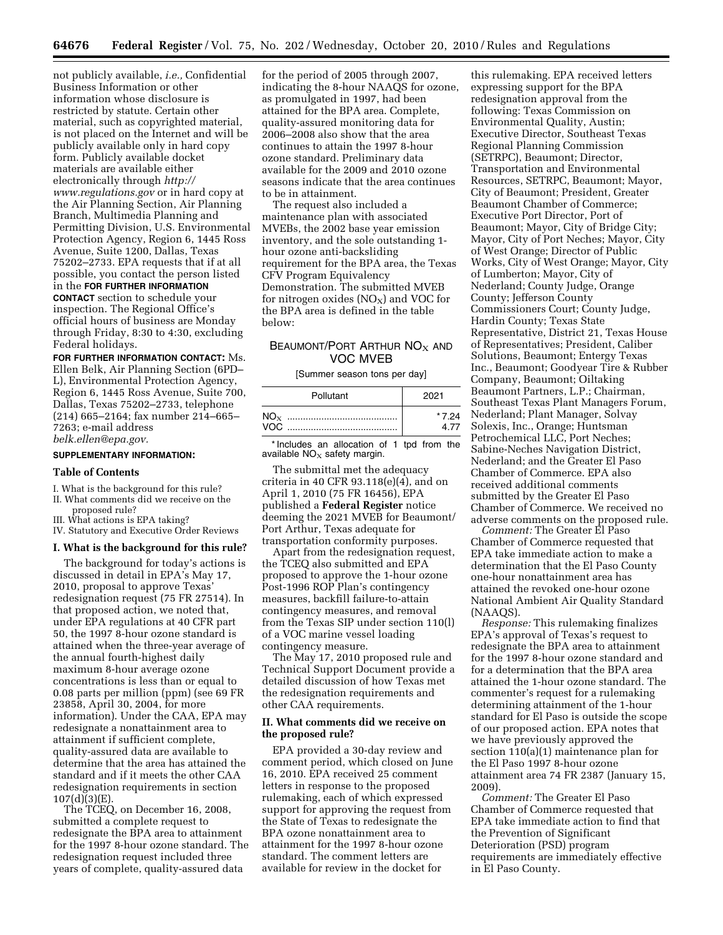not publicly available, *i.e.,* Confidential Business Information or other information whose disclosure is restricted by statute. Certain other material, such as copyrighted material, is not placed on the Internet and will be publicly available only in hard copy form. Publicly available docket materials are available either electronically through *[http://](http://www.regulations.gov) [www.regulations.gov](http://www.regulations.gov)* or in hard copy at the Air Planning Section, Air Planning Branch, Multimedia Planning and Permitting Division, U.S. Environmental Protection Agency, Region 6, 1445 Ross Avenue, Suite 1200, Dallas, Texas 75202–2733. EPA requests that if at all possible, you contact the person listed in the **FOR FURTHER INFORMATION CONTACT** section to schedule your inspection. The Regional Office's official hours of business are Monday through Friday, 8:30 to 4:30, excluding Federal holidays.

**FOR FURTHER INFORMATION CONTACT:** Ms. Ellen Belk, Air Planning Section (6PD– L), Environmental Protection Agency, Region 6, 1445 Ross Avenue, Suite 700, Dallas, Texas 75202–2733, telephone (214) 665–2164; fax number 214–665– 7263; e-mail address *[belk.ellen@epa.gov.](mailto:belk.ellen@epa.gov)* 

# **SUPPLEMENTARY INFORMATION:**

#### **Table of Contents**

- I. What is the background for this rule?
- II. What comments did we receive on the proposed rule?
- III. What actions is EPA taking?
- IV. Statutory and Executive Order Reviews

### **I. What is the background for this rule?**

The background for today's actions is discussed in detail in EPA's May 17, 2010, proposal to approve Texas' redesignation request (75 FR 27514). In that proposed action, we noted that, under EPA regulations at 40 CFR part 50, the 1997 8-hour ozone standard is attained when the three-year average of the annual fourth-highest daily maximum 8-hour average ozone concentrations is less than or equal to 0.08 parts per million (ppm) (see 69 FR 23858, April 30, 2004, for more information). Under the CAA, EPA may redesignate a nonattainment area to attainment if sufficient complete, quality-assured data are available to determine that the area has attained the standard and if it meets the other CAA redesignation requirements in section 107(d)(3)(E).

The TCEQ, on December 16, 2008, submitted a complete request to redesignate the BPA area to attainment for the 1997 8-hour ozone standard. The redesignation request included three years of complete, quality-assured data

for the period of 2005 through 2007, indicating the 8-hour NAAQS for ozone, as promulgated in 1997, had been attained for the BPA area. Complete, quality-assured monitoring data for 2006–2008 also show that the area continues to attain the 1997 8-hour ozone standard. Preliminary data available for the 2009 and 2010 ozone seasons indicate that the area continues to be in attainment.

The request also included a maintenance plan with associated MVEBs, the 2002 base year emission inventory, and the sole outstanding 1 hour ozone anti-backsliding requirement for the BPA area, the Texas CFV Program Equivalency Demonstration. The submitted MVEB for nitrogen oxides  $(NO<sub>x</sub>)$  and VOC for the BPA area is defined in the table below:

# BEAUMONT/PORT ARTHUR  $NO<sub>x</sub>$  and VOC MVEB

[Summer season tons per day]

| Pollutant | 2021   |
|-----------|--------|
|           | * 7 24 |
|           | 4.77   |

\* Includes an allocation of 1 tpd from the available  $NO<sub>x</sub>$  safety margin.

The submittal met the adequacy criteria in 40 CFR 93.118(e)(4), and on April 1, 2010 (75 FR 16456), EPA published a **Federal Register** notice deeming the 2021 MVEB for Beaumont/ Port Arthur, Texas adequate for transportation conformity purposes.

Apart from the redesignation request, the TCEQ also submitted and EPA proposed to approve the 1-hour ozone Post-1996 ROP Plan's contingency measures, backfill failure-to-attain contingency measures, and removal from the Texas SIP under section 110(l) of a VOC marine vessel loading contingency measure.

The May 17, 2010 proposed rule and Technical Support Document provide a detailed discussion of how Texas met the redesignation requirements and other CAA requirements.

### **II. What comments did we receive on the proposed rule?**

EPA provided a 30-day review and comment period, which closed on June 16, 2010. EPA received 25 comment letters in response to the proposed rulemaking, each of which expressed support for approving the request from the State of Texas to redesignate the BPA ozone nonattainment area to attainment for the 1997 8-hour ozone standard. The comment letters are available for review in the docket for

this rulemaking. EPA received letters expressing support for the BPA redesignation approval from the following: Texas Commission on Environmental Quality, Austin; Executive Director, Southeast Texas Regional Planning Commission (SETRPC), Beaumont; Director, Transportation and Environmental Resources, SETRPC, Beaumont; Mayor, City of Beaumont; President, Greater Beaumont Chamber of Commerce; Executive Port Director, Port of Beaumont; Mayor, City of Bridge City; Mayor, City of Port Neches; Mayor, City of West Orange; Director of Public Works, City of West Orange; Mayor, City of Lumberton; Mayor, City of Nederland; County Judge, Orange County; Jefferson County Commissioners Court; County Judge, Hardin County; Texas State Representative, District 21, Texas House of Representatives; President, Caliber Solutions, Beaumont; Entergy Texas Inc., Beaumont; Goodyear Tire & Rubber Company, Beaumont; Oiltaking Beaumont Partners, L.P.; Chairman, Southeast Texas Plant Managers Forum, Nederland; Plant Manager, Solvay Solexis, Inc., Orange; Huntsman Petrochemical LLC, Port Neches; Sabine-Neches Navigation District, Nederland; and the Greater El Paso Chamber of Commerce. EPA also received additional comments submitted by the Greater El Paso Chamber of Commerce. We received no adverse comments on the proposed rule.

*Comment:* The Greater El Paso Chamber of Commerce requested that EPA take immediate action to make a determination that the El Paso County one-hour nonattainment area has attained the revoked one-hour ozone National Ambient Air Quality Standard (NAAQS).

*Response:* This rulemaking finalizes EPA's approval of Texas's request to redesignate the BPA area to attainment for the 1997 8-hour ozone standard and for a determination that the BPA area attained the 1-hour ozone standard. The commenter's request for a rulemaking determining attainment of the 1-hour standard for El Paso is outside the scope of our proposed action. EPA notes that we have previously approved the section 110(a)(1) maintenance plan for the El Paso 1997 8-hour ozone attainment area 74 FR 2387 (January 15, 2009).

*Comment:* The Greater El Paso Chamber of Commerce requested that EPA take immediate action to find that the Prevention of Significant Deterioration (PSD) program requirements are immediately effective in El Paso County.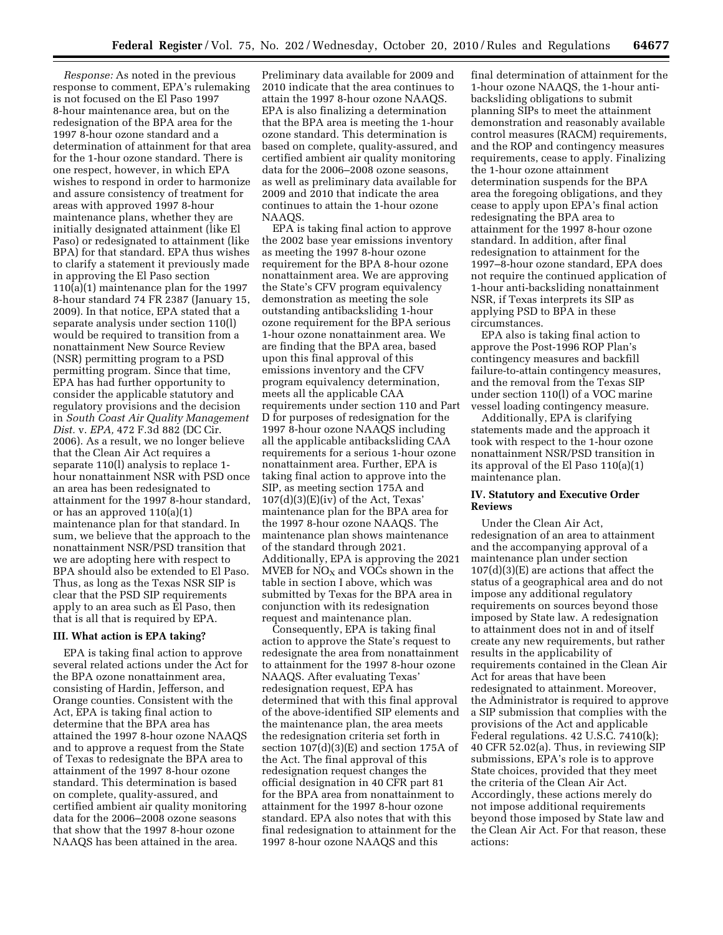*Response:* As noted in the previous response to comment, EPA's rulemaking is not focused on the El Paso 1997 8-hour maintenance area, but on the redesignation of the BPA area for the 1997 8-hour ozone standard and a determination of attainment for that area for the 1-hour ozone standard. There is one respect, however, in which EPA wishes to respond in order to harmonize and assure consistency of treatment for areas with approved 1997 8-hour maintenance plans, whether they are initially designated attainment (like El Paso) or redesignated to attainment (like BPA) for that standard. EPA thus wishes to clarify a statement it previously made in approving the El Paso section 110(a)(1) maintenance plan for the 1997 8-hour standard 74 FR 2387 (January 15, 2009). In that notice, EPA stated that a separate analysis under section 110(l) would be required to transition from a nonattainment New Source Review (NSR) permitting program to a PSD permitting program. Since that time, EPA has had further opportunity to consider the applicable statutory and regulatory provisions and the decision in *South Coast Air Quality Management Dist.* v. *EPA,* 472 F.3d 882 (DC Cir. 2006). As a result, we no longer believe that the Clean Air Act requires a separate 110(l) analysis to replace 1 hour nonattainment NSR with PSD once an area has been redesignated to attainment for the 1997 8-hour standard, or has an approved 110(a)(1) maintenance plan for that standard. In sum, we believe that the approach to the nonattainment NSR/PSD transition that we are adopting here with respect to BPA should also be extended to El Paso. Thus, as long as the Texas NSR SIP is clear that the PSD SIP requirements apply to an area such as El Paso, then that is all that is required by EPA.

### **III. What action is EPA taking?**

EPA is taking final action to approve several related actions under the Act for the BPA ozone nonattainment area, consisting of Hardin, Jefferson, and Orange counties. Consistent with the Act, EPA is taking final action to determine that the BPA area has attained the 1997 8-hour ozone NAAQS and to approve a request from the State of Texas to redesignate the BPA area to attainment of the 1997 8-hour ozone standard. This determination is based on complete, quality-assured, and certified ambient air quality monitoring data for the 2006–2008 ozone seasons that show that the 1997 8-hour ozone NAAQS has been attained in the area.

Preliminary data available for 2009 and 2010 indicate that the area continues to attain the 1997 8-hour ozone NAAQS. EPA is also finalizing a determination that the BPA area is meeting the 1-hour ozone standard. This determination is based on complete, quality-assured, and certified ambient air quality monitoring data for the 2006–2008 ozone seasons, as well as preliminary data available for 2009 and 2010 that indicate the area continues to attain the 1-hour ozone NAAQS.

EPA is taking final action to approve the 2002 base year emissions inventory as meeting the 1997 8-hour ozone requirement for the BPA 8-hour ozone nonattainment area. We are approving the State's CFV program equivalency demonstration as meeting the sole outstanding antibacksliding 1-hour ozone requirement for the BPA serious 1-hour ozone nonattainment area. We are finding that the BPA area, based upon this final approval of this emissions inventory and the CFV program equivalency determination, meets all the applicable CAA requirements under section 110 and Part D for purposes of redesignation for the 1997 8-hour ozone NAAQS including all the applicable antibacksliding CAA requirements for a serious 1-hour ozone nonattainment area. Further, EPA is taking final action to approve into the SIP, as meeting section 175A and  $107(d)(3)(E)(iv)$  of the Act, Texas' maintenance plan for the BPA area for the 1997 8-hour ozone NAAQS. The maintenance plan shows maintenance of the standard through 2021. Additionally, EPA is approving the 2021 MVEB for  $NO<sub>X</sub>$  and VOCs shown in the table in section I above, which was submitted by Texas for the BPA area in conjunction with its redesignation request and maintenance plan.

Consequently, EPA is taking final action to approve the State's request to redesignate the area from nonattainment to attainment for the 1997 8-hour ozone NAAQS. After evaluating Texas' redesignation request, EPA has determined that with this final approval of the above-identified SIP elements and the maintenance plan, the area meets the redesignation criteria set forth in section  $107(d)(3)(E)$  and section 175A of the Act. The final approval of this redesignation request changes the official designation in 40 CFR part 81 for the BPA area from nonattainment to attainment for the 1997 8-hour ozone standard. EPA also notes that with this final redesignation to attainment for the 1997 8-hour ozone NAAQS and this

final determination of attainment for the 1-hour ozone NAAQS, the 1-hour antibacksliding obligations to submit planning SIPs to meet the attainment demonstration and reasonably available control measures (RACM) requirements, and the ROP and contingency measures requirements, cease to apply. Finalizing the 1-hour ozone attainment determination suspends for the BPA area the foregoing obligations, and they cease to apply upon EPA's final action redesignating the BPA area to attainment for the 1997 8-hour ozone standard. In addition, after final redesignation to attainment for the 1997–8-hour ozone standard, EPA does not require the continued application of 1-hour anti-backsliding nonattainment NSR, if Texas interprets its SIP as applying PSD to BPA in these circumstances.

EPA also is taking final action to approve the Post-1996 ROP Plan's contingency measures and backfill failure-to-attain contingency measures, and the removal from the Texas SIP under section 110(l) of a VOC marine vessel loading contingency measure.

Additionally, EPA is clarifying statements made and the approach it took with respect to the 1-hour ozone nonattainment NSR/PSD transition in its approval of the El Paso 110(a)(1) maintenance plan.

# **IV. Statutory and Executive Order Reviews**

Under the Clean Air Act, redesignation of an area to attainment and the accompanying approval of a maintenance plan under section  $107(d)(3)(E)$  are actions that affect the status of a geographical area and do not impose any additional regulatory requirements on sources beyond those imposed by State law. A redesignation to attainment does not in and of itself create any new requirements, but rather results in the applicability of requirements contained in the Clean Air Act for areas that have been redesignated to attainment. Moreover, the Administrator is required to approve a SIP submission that complies with the provisions of the Act and applicable Federal regulations. 42 U.S.C. 7410(k); 40 CFR 52.02(a). Thus, in reviewing SIP submissions, EPA's role is to approve State choices, provided that they meet the criteria of the Clean Air Act. Accordingly, these actions merely do not impose additional requirements beyond those imposed by State law and the Clean Air Act. For that reason, these actions: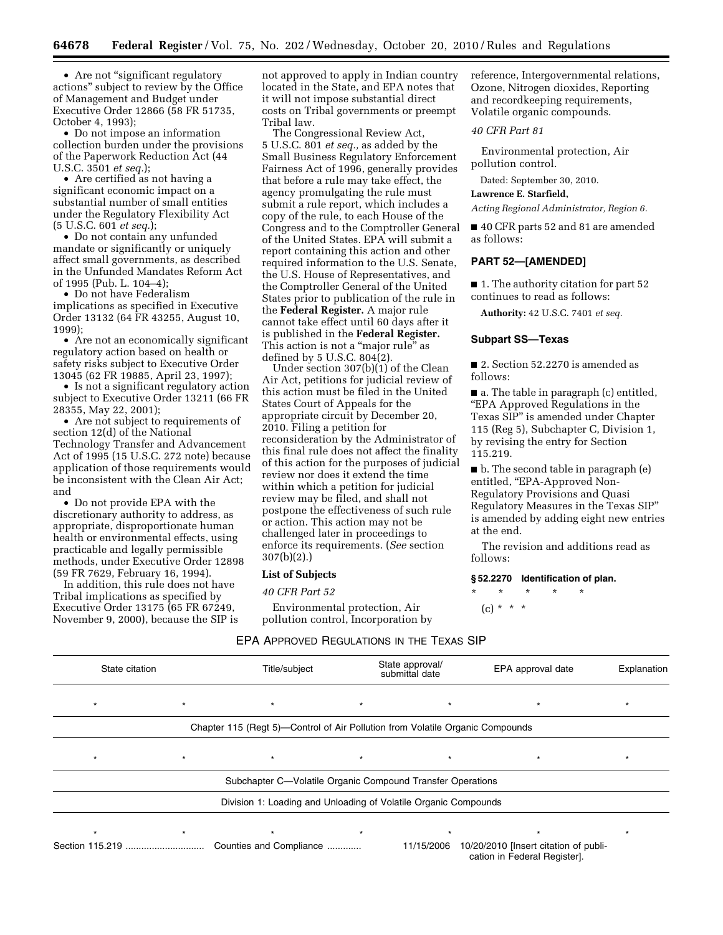• Are not "significant regulatory actions'' subject to review by the Office of Management and Budget under Executive Order 12866 (58 FR 51735, October 4, 1993);

• Do not impose an information collection burden under the provisions of the Paperwork Reduction Act (44 U.S.C. 3501 *et seq.*);

• Are certified as not having a significant economic impact on a substantial number of small entities under the Regulatory Flexibility Act (5 U.S.C. 601 *et seq.*);

• Do not contain any unfunded mandate or significantly or uniquely affect small governments, as described in the Unfunded Mandates Reform Act of 1995 (Pub. L. 104–4);

• Do not have Federalism implications as specified in Executive Order 13132 (64 FR 43255, August 10, 1999);

• Are not an economically significant regulatory action based on health or safety risks subject to Executive Order 13045 (62 FR 19885, April 23, 1997);

• Is not a significant regulatory action subject to Executive Order 13211 (66 FR 28355, May 22, 2001);

• Are not subject to requirements of section 12(d) of the National Technology Transfer and Advancement Act of 1995 (15 U.S.C. 272 note) because application of those requirements would be inconsistent with the Clean Air Act; and

• Do not provide EPA with the discretionary authority to address, as appropriate, disproportionate human health or environmental effects, using practicable and legally permissible methods, under Executive Order 12898 (59 FR 7629, February 16, 1994).

In addition, this rule does not have Tribal implications as specified by Executive Order 13175 (65 FR 67249, November 9, 2000), because the SIP is not approved to apply in Indian country located in the State, and EPA notes that it will not impose substantial direct costs on Tribal governments or preempt Tribal law.

The Congressional Review Act, 5 U.S.C. 801 *et seq.,* as added by the Small Business Regulatory Enforcement Fairness Act of 1996, generally provides that before a rule may take effect, the agency promulgating the rule must submit a rule report, which includes a copy of the rule, to each House of the Congress and to the Comptroller General of the United States. EPA will submit a report containing this action and other required information to the U.S. Senate, the U.S. House of Representatives, and the Comptroller General of the United States prior to publication of the rule in the **Federal Register.** A major rule cannot take effect until 60 days after it is published in the **Federal Register.**  This action is not a "major rule" as defined by 5 U.S.C. 804(2).

Under section 307(b)(1) of the Clean Air Act, petitions for judicial review of this action must be filed in the United States Court of Appeals for the appropriate circuit by December 20, 2010. Filing a petition for reconsideration by the Administrator of this final rule does not affect the finality of this action for the purposes of judicial review nor does it extend the time within which a petition for judicial review may be filed, and shall not postpone the effectiveness of such rule or action. This action may not be challenged later in proceedings to enforce its requirements. (*See* section 307(b)(2).)

# **List of Subjects**

# *40 CFR Part 52*

Environmental protection, Air pollution control, Incorporation by reference, Intergovernmental relations, Ozone, Nitrogen dioxides, Reporting and recordkeeping requirements, Volatile organic compounds.

#### *40 CFR Part 81*

Environmental protection, Air pollution control.

Dated: September 30, 2010.

### **Lawrence E. Starfield,**

*Acting Regional Administrator, Region 6.* 

■ 40 CFR parts 52 and 81 are amended as follows:

#### **PART 52—[AMENDED]**

■ 1. The authority citation for part 52 continues to read as follows:

**Authority:** 42 U.S.C. 7401 *et seq.* 

### **Subpart SS—Texas**

■ 2. Section 52.2270 is amended as follows:

■ a. The table in paragraph (c) entitled, ''EPA Approved Regulations in the Texas SIP'' is amended under Chapter 115 (Reg 5), Subchapter C, Division 1, by revising the entry for Section 115.219.

■ b. The second table in paragraph (e) entitled, "EPA-Approved Non-Regulatory Provisions and Quasi Regulatory Measures in the Texas SIP'' is amended by adding eight new entries at the end.

The revision and additions read as follows:

### **§ 52.2270 Identification of plan.**

\* \* \* \* \*  $(c) * * * *$ 

| State citation |         | Title/subject                                                                 |         | State approval/<br>submittal date | EPA approval date                                                     | Explanation |
|----------------|---------|-------------------------------------------------------------------------------|---------|-----------------------------------|-----------------------------------------------------------------------|-------------|
| $\star$        | $\star$ | $\star$                                                                       | $\star$ | $\star$                           | $\star$                                                               | $\star$     |
|                |         | Chapter 115 (Regt 5)—Control of Air Pollution from Volatile Organic Compounds |         |                                   |                                                                       |             |
| $\star$        | $\star$ | $\star$                                                                       | $\star$ |                                   |                                                                       | $\star$     |
|                |         | Subchapter C-Volatile Organic Compound Transfer Operations                    |         |                                   |                                                                       |             |
|                |         | Division 1: Loading and Unloading of Volatile Organic Compounds               |         |                                   |                                                                       |             |
|                |         | $\star$                                                                       | $\star$ |                                   |                                                                       | ÷           |
|                |         | Counties and Compliance                                                       |         | 11/15/2006                        | 10/20/2010 [Insert citation of publi-<br>cation in Federal Register]. |             |

EPA APPROVED REGULATIONS IN THE TEXAS SIP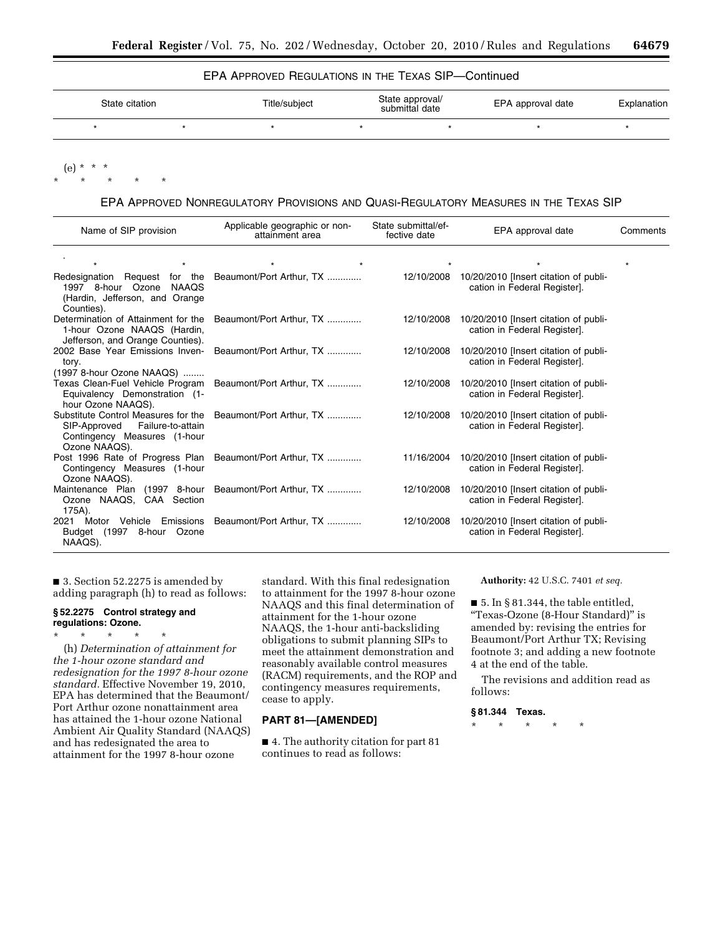# EPA APPROVED REGULATIONS IN THE TEXAS SIP—Continued

| State citation |  | Title/subject | State approval/<br>submittal date | EPA approval date | Explanation |
|----------------|--|---------------|-----------------------------------|-------------------|-------------|
|                |  |               |                                   |                   |             |
|                |  |               |                                   |                   |             |

 $(e) *$ 

\* \* \* \* \*

EPA APPROVED NONREGULATORY PROVISIONS AND QUASI-REGULATORY MEASURES IN THE TEXAS SIP

| Name of SIP provision                                                                                                                           | Applicable geographic or non-<br>attainment area | State submittal/ef-<br>fective date | EPA approval date                                                                | Comments |  |
|-------------------------------------------------------------------------------------------------------------------------------------------------|--------------------------------------------------|-------------------------------------|----------------------------------------------------------------------------------|----------|--|
| $\star$<br>$\star$                                                                                                                              | $\star$                                          |                                     | $\star$                                                                          |          |  |
| Redesignation Request for the Beaumont/Port Arthur, TX<br>1997 8-hour Ozone NAAQS<br>(Hardin, Jefferson, and Orange<br>Counties).               |                                                  |                                     | 12/10/2008 10/20/2010 [Insert citation of publi-<br>cation in Federal Register]. |          |  |
| Determination of Attainment for the<br>1-hour Ozone NAAQS (Hardin,<br>Jefferson, and Orange Counties).                                          | Beaumont/Port Arthur, TX                         | 12/10/2008                          | 10/20/2010 [Insert citation of publi-<br>cation in Federal Register].            |          |  |
| 2002 Base Year Emissions Inven-<br>tory.<br>(1997 8-hour Ozone NAAQS)                                                                           | Beaumont/Port Arthur, TX                         | 12/10/2008                          | 10/20/2010 [Insert citation of publi-<br>cation in Federal Register].            |          |  |
| Texas Clean-Fuel Vehicle Program<br>Equivalency Demonstration (1-<br>hour Ozone NAAQS).                                                         | Beaumont/Port Arthur, TX                         | 12/10/2008                          | 10/20/2010 [Insert citation of publi-<br>cation in Federal Register].            |          |  |
| Substitute Control Measures for the Beaumont/Port Arthur, TX<br>SIP-Approved Failure-to-attain<br>Contingency Measures (1-hour<br>Ozone NAAQS). |                                                  | 12/10/2008                          | 10/20/2010 [Insert citation of publi-<br>cation in Federal Register].            |          |  |
| Post 1996 Rate of Progress Plan Beaumont/Port Arthur, TX<br>Contingency Measures (1-hour<br>Ozone NAAQS).                                       |                                                  | 11/16/2004                          | 10/20/2010 [Insert citation of publi-<br>cation in Federal Register].            |          |  |
| Maintenance Plan (1997 8-hour Beaumont/Port Arthur, TX<br>Ozone NAAQS, CAA Section<br>175A).                                                    |                                                  | 12/10/2008                          | 10/20/2010 [Insert citation of publi-<br>cation in Federal Register].            |          |  |
| 2021 Motor Vehicle Emissions Beaumont/Port Arthur, TX<br>Budget (1997 8-hour Ozone<br>NAAQS).                                                   |                                                  | 12/10/2008                          | 10/20/2010 [Insert citation of publi-<br>cation in Federal Register].            |          |  |

■ 3. Section 52.2275 is amended by adding paragraph (h) to read as follows:

# **§ 52.2275 Control strategy and regulations: Ozone.**

\* \* \* \* \* (h) *Determination of attainment for the 1-hour ozone standard and redesignation for the 1997 8-hour ozone standard.* Effective November 19, 2010, EPA has determined that the Beaumont/ Port Arthur ozone nonattainment area has attained the 1-hour ozone National Ambient Air Quality Standard (NAAQS) and has redesignated the area to attainment for the 1997 8-hour ozone

standard. With this final redesignation to attainment for the 1997 8-hour ozone NAAQS and this final determination of attainment for the 1-hour ozone NAAQS, the 1-hour anti-backsliding obligations to submit planning SIPs to meet the attainment demonstration and reasonably available control measures (RACM) requirements, and the ROP and contingency measures requirements, cease to apply.

# **PART 81—[AMENDED]**

■ 4. The authority citation for part 81 continues to read as follows:

**Authority:** 42 U.S.C. 7401 *et seq.* 

 $\blacksquare$  5. In § 81.344, the table entitled, ''Texas-Ozone (8-Hour Standard)'' is amended by: revising the entries for Beaumont/Port Arthur TX; Revising footnote 3; and adding a new footnote 4 at the end of the table.

The revisions and addition read as follows:

# **§ 81.344 Texas.**

\* \* \* \* \*